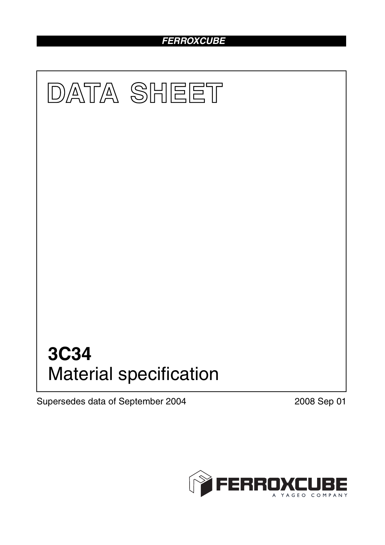# *FERROXCUBE*



Supersedes data of September 2004 2008 Sep 01

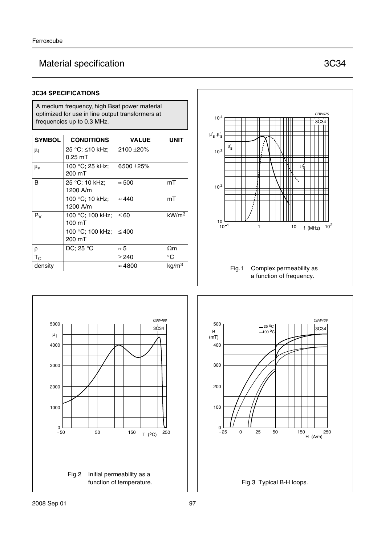# Material specification **3C34**

### **3C34 SPECIFICATIONS**

A medium frequency, high Bsat power material optimized for use in line output transformers at frequencies up to 0.3 MHz.

| <b>SYMBOL</b> | <b>CONDITIONS</b> | <b>VALUE</b>   | <b>UNIT</b>       |
|---------------|-------------------|----------------|-------------------|
| $\mu_i$       | 25 °C; ≤10 kHz;   | 2100 ± 20%     |                   |
|               | $0.25$ mT         |                |                   |
| $\mu_{a}$     | 100 °C; 25 kHz;   | 6500 ±25%      |                   |
|               | 200 mT            |                |                   |
| B             | 25 °C; 10 kHz;    | $\approx 500$  | mT                |
|               | 1200 A/m          |                |                   |
|               | 100 °C; 10 kHz;   | $\approx 440$  | mT                |
|               | 1200 A/m          |                |                   |
| $P_V$         | 100 °C; 100 kHz;  | $\leq 60$      | kW/m <sup>3</sup> |
|               | 100 mT            |                |                   |
|               | 100 °C; 100 kHz;  | $\leq 400$     |                   |
|               | 200 mT            |                |                   |
| ρ             | DC; 25 °C         | $\approx 5$    | $\Omega$ m        |
| $T_{\rm C}$   |                   | $\geq$ 240     | $^{\circ}C$       |
| density       |                   | $\approx 4800$ | kg/m <sup>3</sup> |





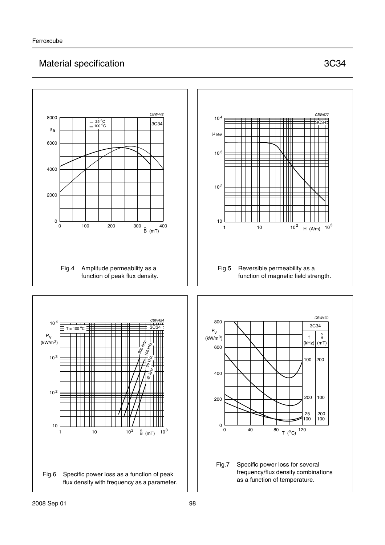# Material specification **3C34**